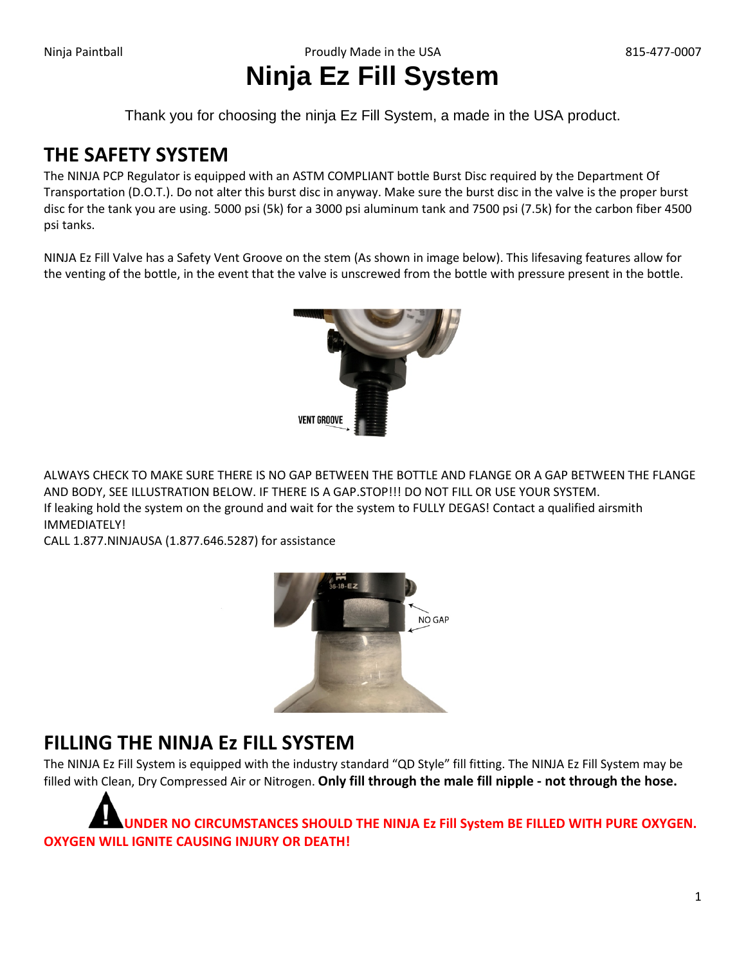# **Ninja Ez Fill System**

Thank you for choosing the ninja Ez Fill System, a made in the USA product.

### **THE SAFETY SYSTEM**

The NINJA PCP Regulator is equipped with an ASTM COMPLIANT bottle Burst Disc required by the Department Of Transportation (D.O.T.). Do not alter this burst disc in anyway. Make sure the burst disc in the valve is the proper burst disc for the tank you are using. 5000 psi (5k) for a 3000 psi aluminum tank and 7500 psi (7.5k) for the carbon fiber 4500 psi tanks.

NINJA Ez Fill Valve has a Safety Vent Groove on the stem (As shown in image below). This lifesaving features allow for the venting of the bottle, in the event that the valve is unscrewed from the bottle with pressure present in the bottle.



ALWAYS CHECK TO MAKE SURE THERE IS NO GAP BETWEEN THE BOTTLE AND FLANGE OR A GAP BETWEEN THE FLANGE AND BODY, SEE ILLUSTRATION BELOW. IF THERE IS A GAP.STOP!!! DO NOT FILL OR USE YOUR SYSTEM. If leaking hold the system on the ground and wait for the system to FULLY DEGAS! Contact a qualified airsmith IMMEDIATELY!

CALL 1.877.NINJAUSA (1.877.646.5287) for assistance



### **FILLING THE NINJA Ez FILL SYSTEM**

The NINJA Ez Fill System is equipped with the industry standard "QD Style" fill fitting. The NINJA Ez Fill System may be filled with Clean, Dry Compressed Air or Nitrogen. **Only fill through the male fill nipple - not through the hose.**

**UNDER NO CIRCUMSTANCES SHOULD THE NINJA Ez Fill System BE FILLED WITH PURE OXYGEN. OXYGEN WILL IGNITE CAUSING INJURY OR DEATH!**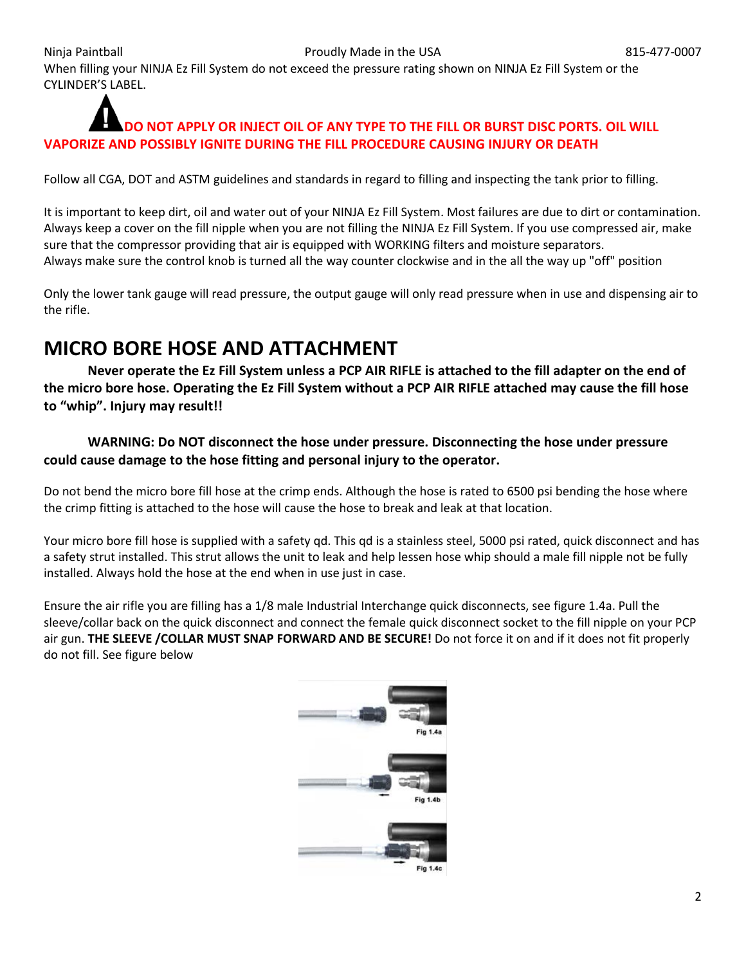When filling your NINJA Ez Fill System do not exceed the pressure rating shown on NINJA Ez Fill System or the CYLINDER'S LABEL.

#### **DO NOT APPLY OR INJECT OIL OF ANY TYPE TO THE FILL OR BURST DISC PORTS. OIL WILL VAPORIZE AND POSSIBLY IGNITE DURING THE FILL PROCEDURE CAUSING INJURY OR DEATH**

Follow all CGA, DOT and ASTM guidelines and standards in regard to filling and inspecting the tank prior to filling.

It is important to keep dirt, oil and water out of your NINJA Ez Fill System. Most failures are due to dirt or contamination. Always keep a cover on the fill nipple when you are not filling the NINJA Ez Fill System. If you use compressed air, make sure that the compressor providing that air is equipped with WORKING filters and moisture separators. Always make sure the control knob is turned all the way counter clockwise and in the all the way up "off" position

Only the lower tank gauge will read pressure, the output gauge will only read pressure when in use and dispensing air to the rifle.

### **MICRO BORE HOSE AND ATTACHMENT**

**Never operate the Ez Fill System unless a PCP AIR RIFLE is attached to the fill adapter on the end of the micro bore hose. Operating the Ez Fill System without a PCP AIR RIFLE attached may cause the fill hose to "whip". Injury may result!!**

#### **WARNING: Do NOT disconnect the hose under pressure. Disconnecting the hose under pressure could cause damage to the hose fitting and personal injury to the operator.**

Do not bend the micro bore fill hose at the crimp ends. Although the hose is rated to 6500 psi bending the hose where the crimp fitting is attached to the hose will cause the hose to break and leak at that location.

Your micro bore fill hose is supplied with a safety qd. This qd is a stainless steel, 5000 psi rated, quick disconnect and has a safety strut installed. This strut allows the unit to leak and help lessen hose whip should a male fill nipple not be fully installed. Always hold the hose at the end when in use just in case.

Ensure the air rifle you are filling has a 1/8 male Industrial Interchange quick disconnects, see figure 1.4a. Pull the sleeve/collar back on the quick disconnect and connect the female quick disconnect socket to the fill nipple on your PCP air gun. **THE SLEEVE /COLLAR MUST SNAP FORWARD AND BE SECURE!** Do not force it on and if it does not fit properly do not fill. See figure below

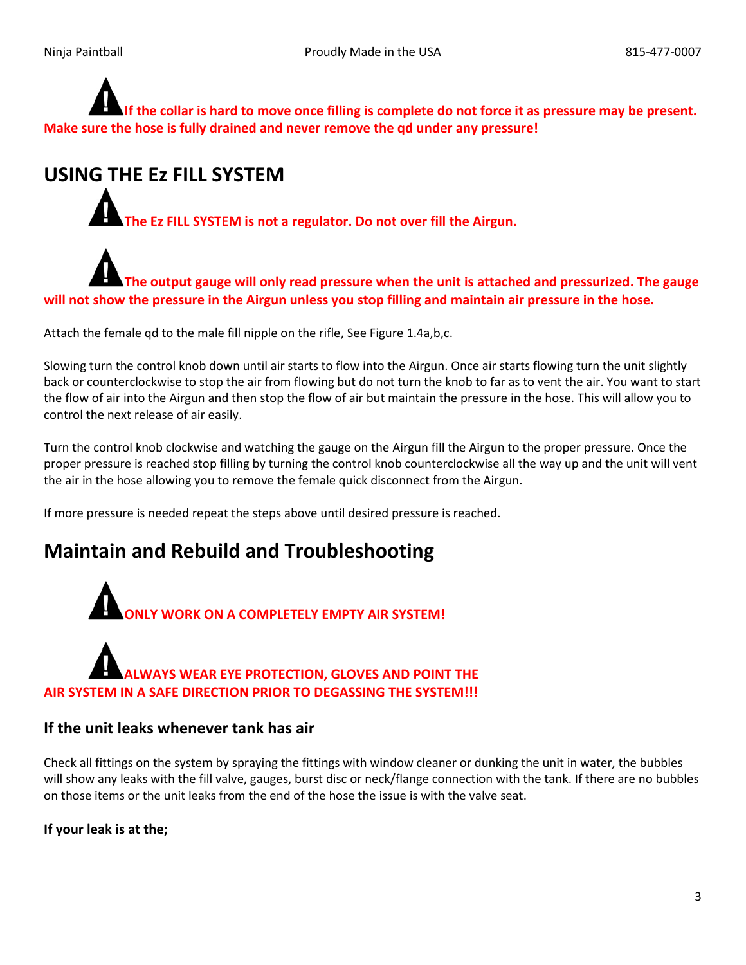**If the collar is hard to move once filling is complete do not force it as pressure may be present. Make sure the hose is fully drained and never remove the qd under any pressure!**

### **USING THE Ez FILL SYSTEM**

**The Ez FILL SYSTEM is not a regulator. Do not over fill the Airgun.**

**The output gauge will only read pressure when the unit is attached and pressurized. The gauge will not show the pressure in the Airgun unless you stop filling and maintain air pressure in the hose.** 

Attach the female qd to the male fill nipple on the rifle, See Figure 1.4a,b,c.

Slowing turn the control knob down until air starts to flow into the Airgun. Once air starts flowing turn the unit slightly back or counterclockwise to stop the air from flowing but do not turn the knob to far as to vent the air. You want to start the flow of air into the Airgun and then stop the flow of air but maintain the pressure in the hose. This will allow you to control the next release of air easily.

Turn the control knob clockwise and watching the gauge on the Airgun fill the Airgun to the proper pressure. Once the proper pressure is reached stop filling by turning the control knob counterclockwise all the way up and the unit will vent the air in the hose allowing you to remove the female quick disconnect from the Airgun.

If more pressure is needed repeat the steps above until desired pressure is reached.

### **Maintain and Rebuild and Troubleshooting**



### **ALWAYS WEAR EYE PROTECTION, GLOVES AND POINT THE AIR SYSTEM IN A SAFE DIRECTION PRIOR TO DEGASSING THE SYSTEM!!!**

#### **If the unit leaks whenever tank has air**

Check all fittings on the system by spraying the fittings with window cleaner or dunking the unit in water, the bubbles will show any leaks with the fill valve, gauges, burst disc or neck/flange connection with the tank. If there are no bubbles on those items or the unit leaks from the end of the hose the issue is with the valve seat.

**If your leak is at the;**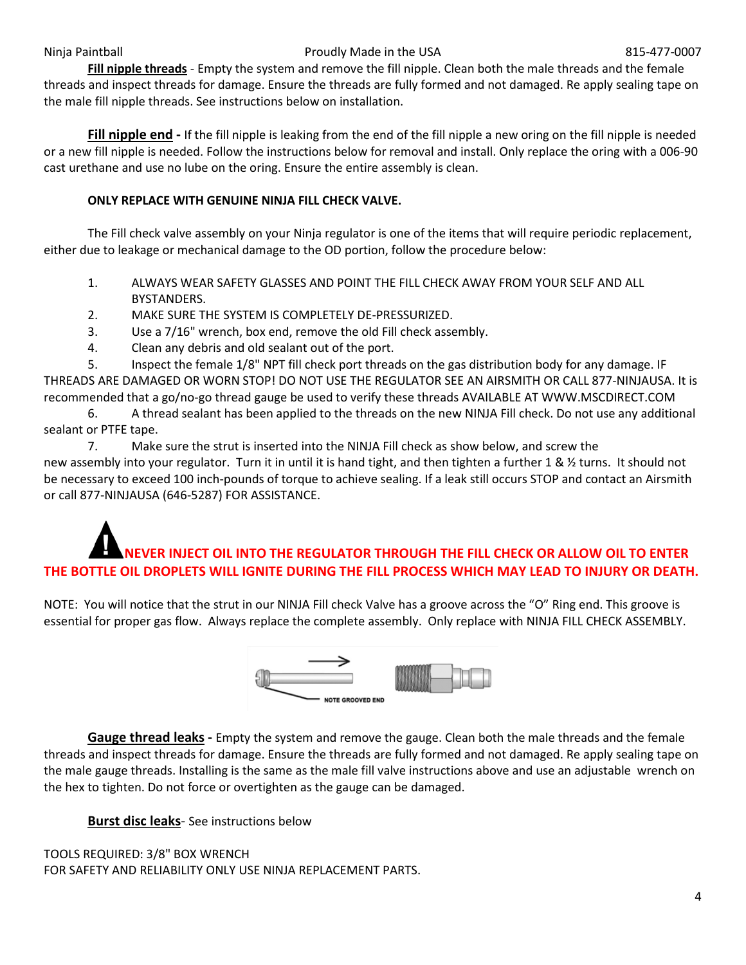#### Ninja Paintball **Proudly Made in the USA** 815-477-0007

**Fill nipple threads** - Empty the system and remove the fill nipple. Clean both the male threads and the female threads and inspect threads for damage. Ensure the threads are fully formed and not damaged. Re apply sealing tape on the male fill nipple threads. See instructions below on installation.

**Fill nipple end -** If the fill nipple is leaking from the end of the fill nipple a new oring on the fill nipple is needed or a new fill nipple is needed. Follow the instructions below for removal and install. Only replace the oring with a 006-90 cast urethane and use no lube on the oring. Ensure the entire assembly is clean.

#### **ONLY REPLACE WITH GENUINE NINJA FILL CHECK VALVE.**

The Fill check valve assembly on your Ninja regulator is one of the items that will require periodic replacement, either due to leakage or mechanical damage to the OD portion, follow the procedure below:

- 1. ALWAYS WEAR SAFETY GLASSES AND POINT THE FILL CHECK AWAY FROM YOUR SELF AND ALL BYSTANDERS.
- 2. MAKE SURE THE SYSTEM IS COMPLETELY DE-PRESSURIZED.
- 3. Use a 7/16" wrench, box end, remove the old Fill check assembly.
- 4. Clean any debris and old sealant out of the port.

5. Inspect the female 1/8" NPT fill check port threads on the gas distribution body for any damage. IF THREADS ARE DAMAGED OR WORN STOP! DO NOT USE THE REGULATOR SEE AN AIRSMITH OR CALL 877-NINJAUSA. It is recommended that a go/no-go thread gauge be used to verify these threads AVAILABLE AT WWW.MSCDIRECT.COM

6. A thread sealant has been applied to the threads on the new NINJA Fill check. Do not use any additional sealant or PTFE tape.

7. Make sure the strut is inserted into the NINJA Fill check as show below, and screw the new assembly into your regulator. Turn it in until it is hand tight, and then tighten a further 1 & 1/2 turns. It should not be necessary to exceed 100 inch-pounds of torque to achieve sealing. If a leak still occurs STOP and contact an Airsmith or call 877-NINJAUSA (646-5287) FOR ASSISTANCE.

## **NEVER INJECT OIL INTO THE REGULATOR THROUGH THE FILL CHECK OR ALLOW OIL TO ENTER THE BOTTLE OIL DROPLETS WILL IGNITE DURING THE FILL PROCESS WHICH MAY LEAD TO INJURY OR DEATH.**

NOTE: You will notice that the strut in our NINJA Fill check Valve has a groove across the "O" Ring end. This groove is essential for proper gas flow. Always replace the complete assembly. Only replace with NINJA FILL CHECK ASSEMBLY.



**Gauge thread leaks -** Empty the system and remove the gauge. Clean both the male threads and the female threads and inspect threads for damage. Ensure the threads are fully formed and not damaged. Re apply sealing tape on the male gauge threads. Installing is the same as the male fill valve instructions above and use an adjustable wrench on the hex to tighten. Do not force or overtighten as the gauge can be damaged.

**Burst disc leaks**- See instructions below

#### TOOLS REQUIRED: 3/8" BOX WRENCH

FOR SAFETY AND RELIABILITY ONLY USE NINJA REPLACEMENT PARTS.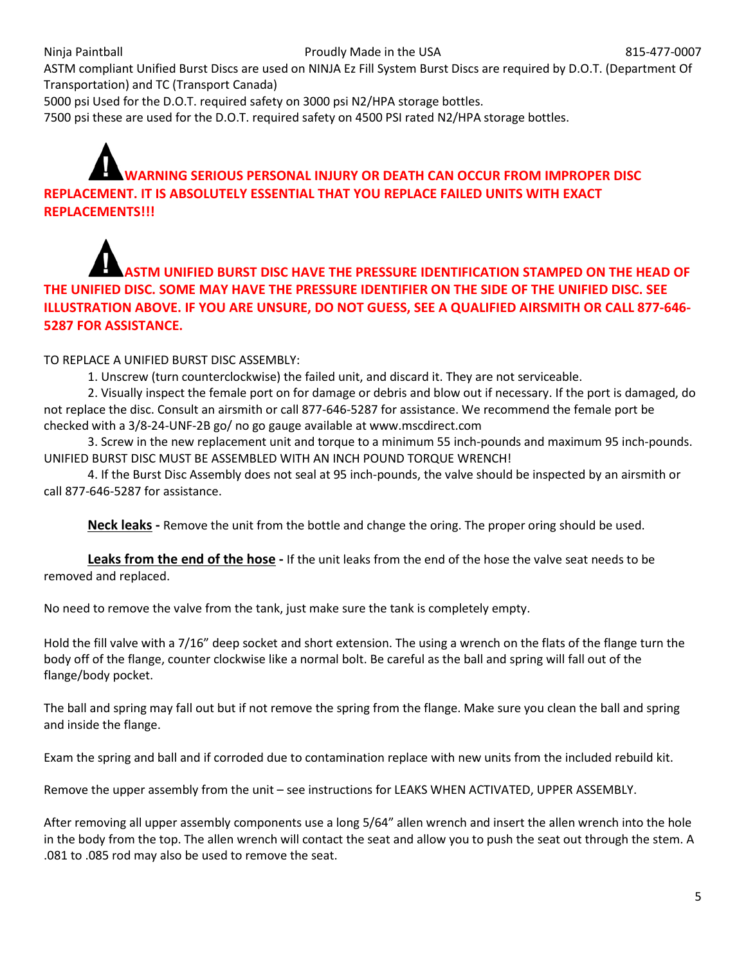ASTM compliant Unified Burst Discs are used on NINJA Ez Fill System Burst Discs are required by D.O.T. (Department Of Transportation) and TC (Transport Canada)

5000 psi Used for the D.O.T. required safety on 3000 psi N2/HPA storage bottles.

7500 psi these are used for the D.O.T. required safety on 4500 PSI rated N2/HPA storage bottles.

### **WARNING SERIOUS PERSONAL INJURY OR DEATH CAN OCCUR FROM IMPROPER DISC REPLACEMENT. IT IS ABSOLUTELY ESSENTIAL THAT YOU REPLACE FAILED UNITS WITH EXACT REPLACEMENTS!!!**

### **TM UNIFIED BURST DISC HAVE THE PRESSURE IDENTIFICATION STAMPED ON THE HEAD OF THE UNIFIED DISC. SOME MAY HAVE THE PRESSURE IDENTIFIER ON THE SIDE OF THE UNIFIED DISC. SEE ILLUSTRATION ABOVE. IF YOU ARE UNSURE, DO NOT GUESS, SEE A QUALIFIED AIRSMITH OR CALL 877-646- 5287 FOR ASSISTANCE.**

TO REPLACE A UNIFIED BURST DISC ASSEMBLY:

1. Unscrew (turn counterclockwise) the failed unit, and discard it. They are not serviceable.

2. Visually inspect the female port on for damage or debris and blow out if necessary. If the port is damaged, do not replace the disc. Consult an airsmith or call 877-646-5287 for assistance. We recommend the female port be checked with a 3/8-24-UNF-2B go/ no go gauge available at www.mscdirect.com

3. Screw in the new replacement unit and torque to a minimum 55 inch-pounds and maximum 95 inch-pounds. UNIFIED BURST DISC MUST BE ASSEMBLED WITH AN INCH POUND TORQUE WRENCH!

4. If the Burst Disc Assembly does not seal at 95 inch-pounds, the valve should be inspected by an airsmith or call 877-646-5287 for assistance.

**Neck leaks -** Remove the unit from the bottle and change the oring. The proper oring should be used.

**Leaks from the end of the hose -** If the unit leaks from the end of the hose the valve seat needs to be removed and replaced.

No need to remove the valve from the tank, just make sure the tank is completely empty.

Hold the fill valve with a 7/16" deep socket and short extension. The using a wrench on the flats of the flange turn the body off of the flange, counter clockwise like a normal bolt. Be careful as the ball and spring will fall out of the flange/body pocket.

The ball and spring may fall out but if not remove the spring from the flange. Make sure you clean the ball and spring and inside the flange.

Exam the spring and ball and if corroded due to contamination replace with new units from the included rebuild kit.

Remove the upper assembly from the unit – see instructions for LEAKS WHEN ACTIVATED, UPPER ASSEMBLY.

After removing all upper assembly components use a long 5/64" allen wrench and insert the allen wrench into the hole in the body from the top. The allen wrench will contact the seat and allow you to push the seat out through the stem. A .081 to .085 rod may also be used to remove the seat.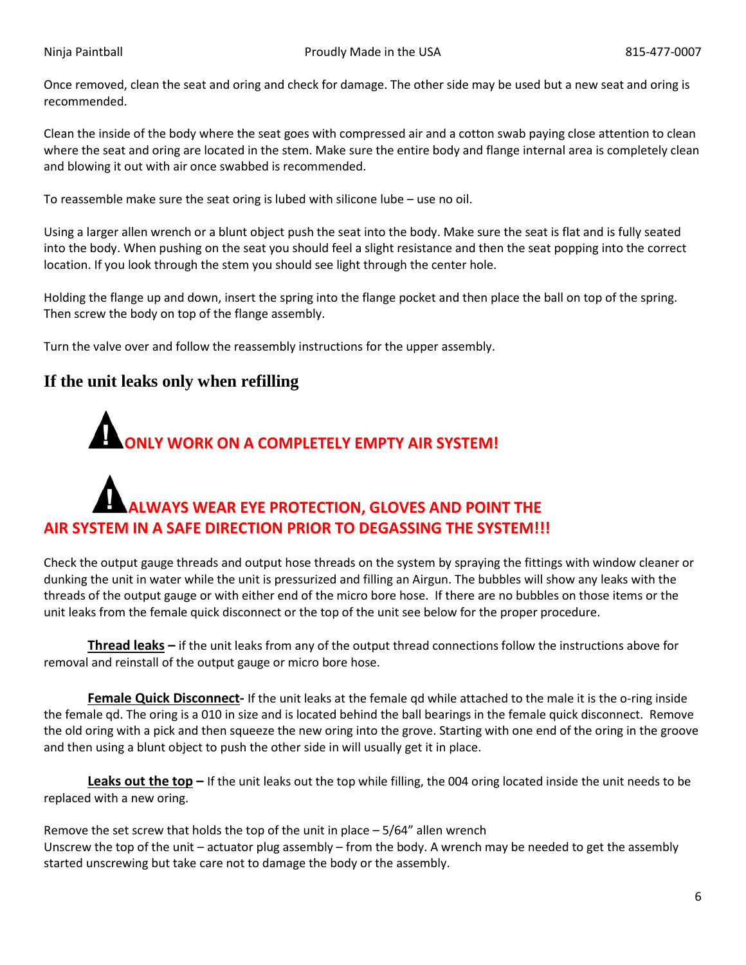Once removed, clean the seat and oring and check for damage. The other side may be used but a new seat and oring is recommended.

Clean the inside of the body where the seat goes with compressed air and a cotton swab paying close attention to clean where the seat and oring are located in the stem. Make sure the entire body and flange internal area is completely clean and blowing it out with air once swabbed is recommended.

To reassemble make sure the seat oring is lubed with silicone lube – use no oil.

Using a larger allen wrench or a blunt object push the seat into the body. Make sure the seat is flat and is fully seated into the body. When pushing on the seat you should feel a slight resistance and then the seat popping into the correct location. If you look through the stem you should see light through the center hole.

Holding the flange up and down, insert the spring into the flange pocket and then place the ball on top of the spring. Then screw the body on top of the flange assembly.

Turn the valve over and follow the reassembly instructions for the upper assembly.

### **If the unit leaks only when refilling**

# **ONLY WORK ON A COMPLETELY EMPTY AIR SYSTEM!**

## **ALWAYS WEAR EYE PROTECTION, GLOVES AND POINT THE AIR SYSTEM IN A SAFE DIRECTION PRIOR TO DEGASSING THE SYSTEM!!!**

Check the output gauge threads and output hose threads on the system by spraying the fittings with window cleaner or dunking the unit in water while the unit is pressurized and filling an Airgun. The bubbles will show any leaks with the threads of the output gauge or with either end of the micro bore hose. If there are no bubbles on those items or the unit leaks from the female quick disconnect or the top of the unit see below for the proper procedure.

**Thread leaks –** if the unit leaks from any of the output thread connections follow the instructions above for removal and reinstall of the output gauge or micro bore hose.

**Female Quick Disconnect-** If the unit leaks at the female qd while attached to the male it is the o-ring inside the female qd. The oring is a 010 in size and is located behind the ball bearings in the female quick disconnect. Remove the old oring with a pick and then squeeze the new oring into the grove. Starting with one end of the oring in the groove and then using a blunt object to push the other side in will usually get it in place.

**Leaks out the top –** If the unit leaks out the top while filling, the 004 oring located inside the unit needs to be replaced with a new oring.

Remove the set screw that holds the top of the unit in place  $-5/64$ " allen wrench Unscrew the top of the unit – actuator plug assembly – from the body. A wrench may be needed to get the assembly started unscrewing but take care not to damage the body or the assembly.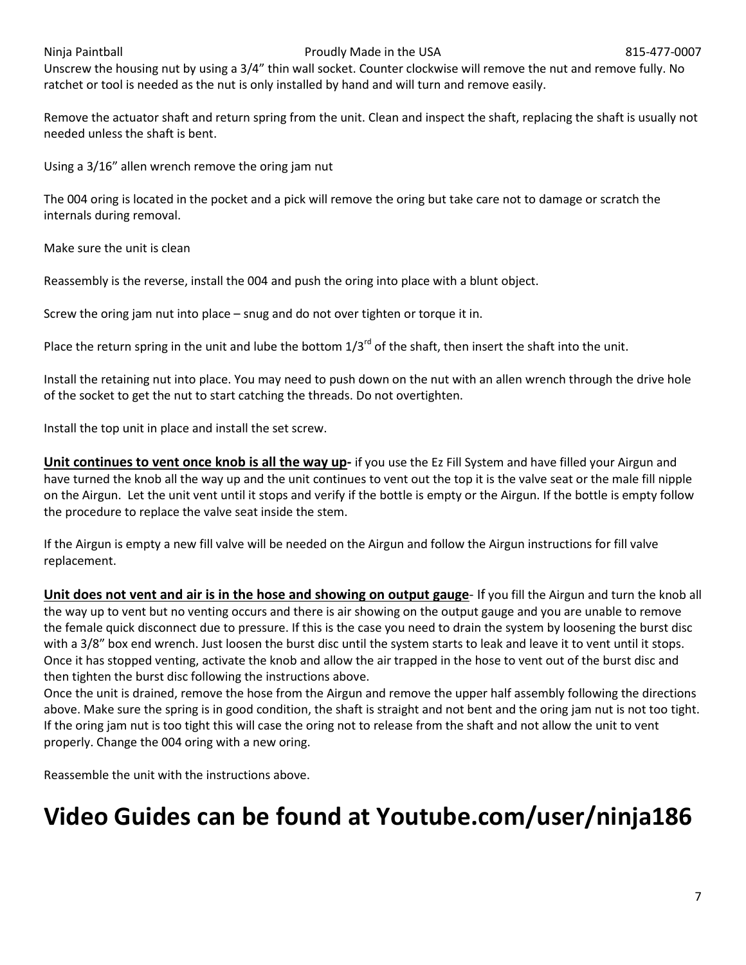#### Ninja Paintball **Proudly Made in the USA** 815-477-0007

Unscrew the housing nut by using a 3/4" thin wall socket. Counter clockwise will remove the nut and remove fully. No ratchet or tool is needed as the nut is only installed by hand and will turn and remove easily.

Remove the actuator shaft and return spring from the unit. Clean and inspect the shaft, replacing the shaft is usually not needed unless the shaft is bent.

Using a 3/16" allen wrench remove the oring jam nut

The 004 oring is located in the pocket and a pick will remove the oring but take care not to damage or scratch the internals during removal.

Make sure the unit is clean

Reassembly is the reverse, install the 004 and push the oring into place with a blunt object.

Screw the oring jam nut into place – snug and do not over tighten or torque it in.

Place the return spring in the unit and lube the bottom  $1/3^{rd}$  of the shaft, then insert the shaft into the unit.

Install the retaining nut into place. You may need to push down on the nut with an allen wrench through the drive hole of the socket to get the nut to start catching the threads. Do not overtighten.

Install the top unit in place and install the set screw.

**Unit continues to vent once knob is all the way up-** if you use the Ez Fill System and have filled your Airgun and have turned the knob all the way up and the unit continues to vent out the top it is the valve seat or the male fill nipple on the Airgun. Let the unit vent until it stops and verify if the bottle is empty or the Airgun. If the bottle is empty follow the procedure to replace the valve seat inside the stem.

If the Airgun is empty a new fill valve will be needed on the Airgun and follow the Airgun instructions for fill valve replacement.

**Unit does not vent and air is in the hose and showing on output gauge**- If you fill the Airgun and turn the knob all the way up to vent but no venting occurs and there is air showing on the output gauge and you are unable to remove the female quick disconnect due to pressure. If this is the case you need to drain the system by loosening the burst disc with a 3/8" box end wrench. Just loosen the burst disc until the system starts to leak and leave it to vent until it stops. Once it has stopped venting, activate the knob and allow the air trapped in the hose to vent out of the burst disc and then tighten the burst disc following the instructions above.

Once the unit is drained, remove the hose from the Airgun and remove the upper half assembly following the directions above. Make sure the spring is in good condition, the shaft is straight and not bent and the oring jam nut is not too tight. If the oring jam nut is too tight this will case the oring not to release from the shaft and not allow the unit to vent properly. Change the 004 oring with a new oring.

Reassemble the unit with the instructions above.

### **Video Guides can be found at Youtube.com/user/ninja186**